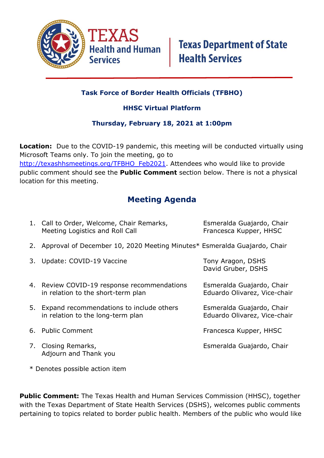

## **Task Force of Border Health Officials (TFBHO)**

### **HHSC Virtual Platform**

#### **Thursday, February 18, 2021 at 1:00pm**

**Location:** Due to the COVID-19 pandemic, this meeting will be conducted virtually using Microsoft Teams only. To join the meeting, go to [http://texashhsmeetings.org/TFBHO\\_Feb2021.](http://texashhsmeetings.org/TFBHO_Feb2021) Attendees who would like to provide public comment should see the **Public Comment** section below. There is not a physical location for this meeting.

# **Meeting Agenda**

| 1. Call to Order, Welcome, Chair Remarks,<br>Meeting Logistics and Roll Call      | Esmeralda Guajardo, Chair<br>Francesca Kupper, HHSC       |
|-----------------------------------------------------------------------------------|-----------------------------------------------------------|
| 2. Approval of December 10, 2020 Meeting Minutes* Esmeralda Guajardo, Chair       |                                                           |
| 3. Update: COVID-19 Vaccine                                                       | Tony Aragon, DSHS<br>David Gruber, DSHS                   |
| 4. Review COVID-19 response recommendations<br>in relation to the short-term plan | Esmeralda Guajardo, Chair<br>Eduardo Olivarez, Vice-chair |
| 5. Expand recommendations to include others<br>in relation to the long-term plan  | Esmeralda Guajardo, Chair<br>Eduardo Olivarez, Vice-chair |
| 6. Public Comment                                                                 | Francesca Kupper, HHSC                                    |
| 7. Closing Remarks,<br>Adjourn and Thank you                                      | Esmeralda Guajardo, Chair                                 |

\* Denotes possible action item

**Public Comment:** The Texas Health and Human Services Commission (HHSC), together with the Texas Department of State Health Services (DSHS), welcomes public comments pertaining to topics related to border public health. Members of the public who would like